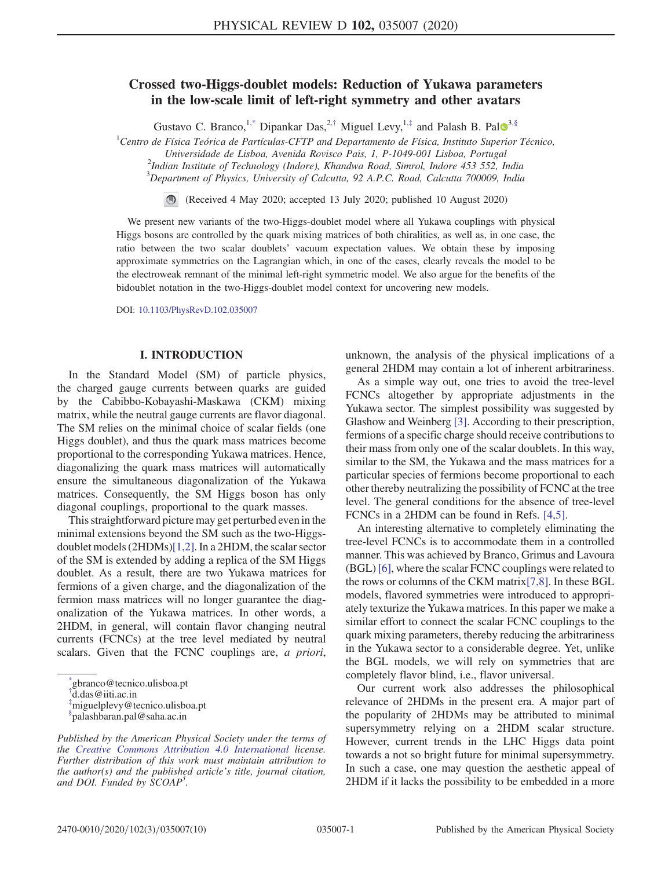# Crossed two-Higgs-doublet models: Reduction of Yukawa parameters in the low-scale limit of left-right symmetry and other avatars

Gustavo C. Branco,<sup>1,\*</sup> Dipankar Das,<sup>2,†</sup> Miguel Levy,<sup>1,‡</sup> and Palash B. Pal<sup>o<sub>3,§</sub></sup>

 ${}^{1}$ Centro de Física Teórica de Partículas-CFTP and Departamento de Física, Instituto Superior Técnico,

Universidade de Lisboa, Avenida Rovisco Pais, 1, P-1049-001 Lisboa, Portugal

 $^{2}$ Indian Institute of Technology (Indore), Khandwa Road, Simrol, Indore 453 552, India

 $3$ Department of Physics, University of Calcutta, 92 A.P.C. Road, Calcutta 700009, India

(Received 4 May 2020; accepted 13 July 2020; published 10 August 2020)

We present new variants of the two-Higgs-doublet model where all Yukawa couplings with physical Higgs bosons are controlled by the quark mixing matrices of both chiralities, as well as, in one case, the ratio between the two scalar doublets' vacuum expectation values. We obtain these by imposing approximate symmetries on the Lagrangian which, in one of the cases, clearly reveals the model to be the electroweak remnant of the minimal left-right symmetric model. We also argue for the benefits of the bidoublet notation in the two-Higgs-doublet model context for uncovering new models.

DOI: 10.1103/PhysRevD.102.035007

## I. INTRODUCTION

In the Standard Model (SM) of particle physics, the charged gauge currents between quarks are guided by the Cabibbo-Kobayashi-Maskawa (CKM) mixing matrix, while the neutral gauge currents are flavor diagonal. The SM relies on the minimal choice of scalar fields (one Higgs doublet), and thus the quark mass matrices become proportional to the corresponding Yukawa matrices. Hence, diagonalizing the quark mass matrices will automatically ensure the simultaneous diagonalization of the Yukawa matrices. Consequently, the SM Higgs boson has only diagonal couplings, proportional to the quark masses.

This straightforward picture may get perturbed even in the minimal extensions beyond the SM such as the two-Higgsdoublet models (2HDMs)[1,2]. In a 2HDM, the scalar sector of the SM is extended by adding a replica of the SM Higgs doublet. As a result, there are two Yukawa matrices for fermions of a given charge, and the diagonalization of the fermion mass matrices will no longer guarantee the diagonalization of the Yukawa matrices. In other words, a 2HDM, in general, will contain flavor changing neutral currents (FCNCs) at the tree level mediated by neutral scalars. Given that the FCNC couplings are, a priori,

† d.das@iiti.ac.in

‡miguelplevy@tecnico.ulisboa.pt

unknown, the analysis of the physical implications of a general 2HDM may contain a lot of inherent arbitrariness.

As a simple way out, one tries to avoid the tree-level FCNCs altogether by appropriate adjustments in the Yukawa sector. The simplest possibility was suggested by Glashow and Weinberg [3]. According to their prescription, fermions of a specific charge should receive contributions to their mass from only one of the scalar doublets. In this way, similar to the SM, the Yukawa and the mass matrices for a particular species of fermions become proportional to each other thereby neutralizing the possibility of FCNC at the tree level. The general conditions for the absence of tree-level FCNCs in a 2HDM can be found in Refs. [4,5].

An interesting alternative to completely eliminating the tree-level FCNCs is to accommodate them in a controlled manner. This was achieved by Branco, Grimus and Lavoura (BGL) [6], where the scalar FCNC couplings were related to the rows or columns of the CKM matrix[7,8]. In these BGL models, flavored symmetries were introduced to appropriately texturize the Yukawa matrices. In this paper we make a similar effort to connect the scalar FCNC couplings to the quark mixing parameters, thereby reducing the arbitrariness in the Yukawa sector to a considerable degree. Yet, unlike the BGL models, we will rely on symmetries that are completely flavor blind, i.e., flavor universal.

Our current work also addresses the philosophical relevance of 2HDMs in the present era. A major part of the popularity of 2HDMs may be attributed to minimal supersymmetry relying on a 2HDM scalar structure. However, current trends in the LHC Higgs data point towards a not so bright future for minimal supersymmetry. In such a case, one may question the aesthetic appeal of 2HDM if it lacks the possibility to be embedded in a more

<sup>\*</sup> gbranco@tecnico.ulisboa.pt

<sup>§</sup> palashbaran.pal@saha.ac.in

Published by the American Physical Society under the terms of the Creative Commons Attribution 4.0 International license. Further distribution of this work must maintain attribution to the author(s) and the published article's title, journal citation, and DOI. Funded by  $\dot{S}COAP^3$ .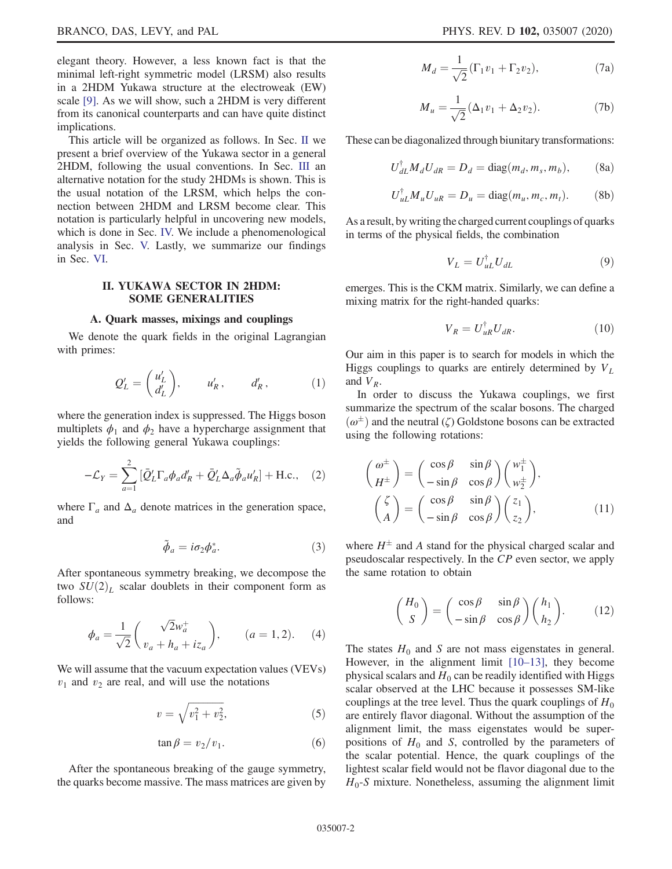elegant theory. However, a less known fact is that the minimal left-right symmetric model (LRSM) also results in a 2HDM Yukawa structure at the electroweak (EW) scale [9]. As we will show, such a 2HDM is very different from its canonical counterparts and can have quite distinct implications.

This article will be organized as follows. In Sec. II we present a brief overview of the Yukawa sector in a general 2HDM, following the usual conventions. In Sec. III an alternative notation for the study 2HDMs is shown. This is the usual notation of the LRSM, which helps the connection between 2HDM and LRSM become clear. This notation is particularly helpful in uncovering new models, which is done in Sec. IV. We include a phenomenological analysis in Sec. V. Lastly, we summarize our findings in Sec. VI.

# II. YUKAWA SECTOR IN 2HDM: SOME GENERALITIES

#### A. Quark masses, mixings and couplings

We denote the quark fields in the original Lagrangian with primes:

$$
Q'_L = \begin{pmatrix} u'_L \\ d'_L \end{pmatrix}, \qquad u'_R, \qquad d'_R, \qquad (1)
$$

where the generation index is suppressed. The Higgs boson multiplets  $\phi_1$  and  $\phi_2$  have a hypercharge assignment that yields the following general Yukawa couplings:

$$
-\mathcal{L}_Y = \sum_{a=1}^2 \left[ \bar{Q}'_L \Gamma_a \phi_a d'_R + \bar{Q}'_L \Delta_a \tilde{\phi}_a u'_R \right] + \text{H.c.,} \quad (2)
$$

where  $\Gamma_a$  and  $\Delta_a$  denote matrices in the generation space, and

$$
\tilde{\phi}_a = i\sigma_2 \phi_a^*.
$$
\n(3)

After spontaneous symmetry breaking, we decompose the two  $\widehat{SU}(2)_L$  scalar doublets in their component form as follows:

$$
\phi_a = \frac{1}{\sqrt{2}} \begin{pmatrix} \sqrt{2}w_a^+ \\ v_a + h_a + iz_a \end{pmatrix}, \qquad (a = 1, 2). \tag{4}
$$

We will assume that the vacuum expectation values (VEVs)  $v_1$  and  $v_2$  are real, and will use the notations

$$
v = \sqrt{v_1^2 + v_2^2},\tag{5}
$$

$$
\tan \beta = v_2/v_1. \tag{6}
$$

After the spontaneous breaking of the gauge symmetry, the quarks become massive. The mass matrices are given by

$$
M_d = \frac{1}{\sqrt{2}} (\Gamma_1 v_1 + \Gamma_2 v_2),
$$
 (7a)

$$
M_u = \frac{1}{\sqrt{2}} (\Delta_1 v_1 + \Delta_2 v_2).
$$
 (7b)

These can be diagonalized through biunitary transformations:

$$
U_{dL}^{\dagger} M_d U_{dR} = D_d = \text{diag}(m_d, m_s, m_b), \quad (8a)
$$

$$
U_{uL}^{\dagger} M_u U_{uR} = D_u = \text{diag}(m_u, m_c, m_t). \tag{8b}
$$

As a result, by writing the charged current couplings of quarks in terms of the physical fields, the combination

$$
V_L = U_{uL}^\dagger U_{dL} \tag{9}
$$

emerges. This is the CKM matrix. Similarly, we can define a mixing matrix for the right-handed quarks:

$$
V_R = U_{uR}^\dagger U_{dR}.\tag{10}
$$

Our aim in this paper is to search for models in which the Higgs couplings to quarks are entirely determined by  $V_L$ and  $V_R$ .

In order to discuss the Yukawa couplings, we first summarize the spectrum of the scalar bosons. The charged  $(\omega^{\pm})$  and the neutral  $(\zeta)$  Goldstone bosons can be extracted using the following rotations:

$$
\begin{pmatrix}\n\omega^{\pm} \\
H^{\pm}\n\end{pmatrix} = \begin{pmatrix}\n\cos \beta & \sin \beta \\
-\sin \beta & \cos \beta\n\end{pmatrix} \begin{pmatrix}\n\omega_1^{\pm} \\
\omega_2^{\pm}\n\end{pmatrix},
$$
\n
$$
\begin{pmatrix}\n\zeta \\
A\n\end{pmatrix} = \begin{pmatrix}\n\cos \beta & \sin \beta \\
-\sin \beta & \cos \beta\n\end{pmatrix} \begin{pmatrix}\nz_1 \\
z_2\n\end{pmatrix},
$$
\n(11)

where  $H^{\pm}$  and A stand for the physical charged scalar and pseudoscalar respectively. In the CP even sector, we apply the same rotation to obtain

$$
\begin{pmatrix} H_0 \\ S \end{pmatrix} = \begin{pmatrix} \cos \beta & \sin \beta \\ -\sin \beta & \cos \beta \end{pmatrix} \begin{pmatrix} h_1 \\ h_2 \end{pmatrix}.
$$
 (12)

The states  $H_0$  and S are not mass eigenstates in general. However, in the alignment limit [10–13], they become physical scalars and  $H_0$  can be readily identified with Higgs scalar observed at the LHC because it possesses SM-like couplings at the tree level. Thus the quark couplings of  $H_0$ are entirely flavor diagonal. Without the assumption of the alignment limit, the mass eigenstates would be superpositions of  $H_0$  and S, controlled by the parameters of the scalar potential. Hence, the quark couplings of the lightest scalar field would not be flavor diagonal due to the  $H_0$ -S mixture. Nonetheless, assuming the alignment limit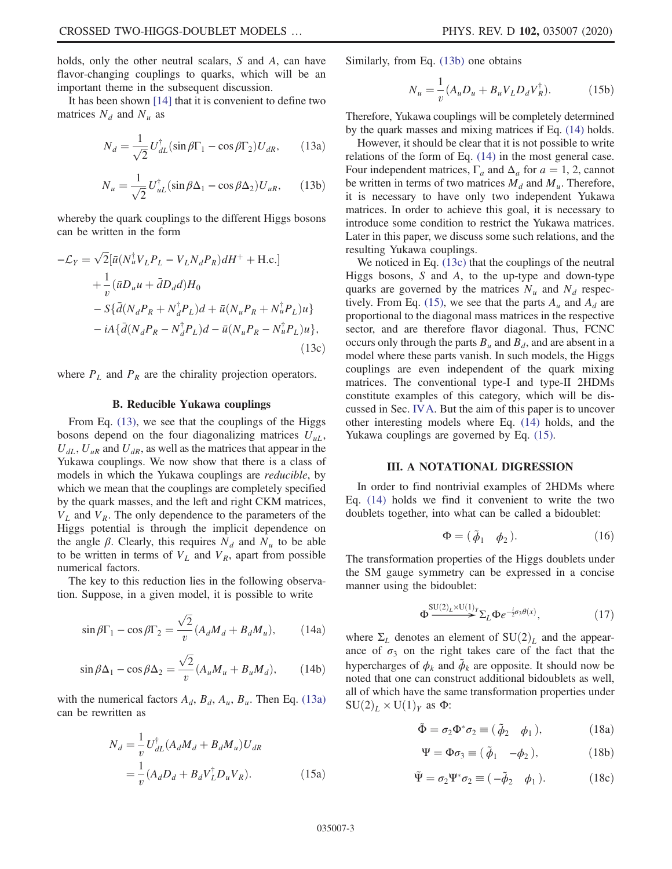holds, only the other neutral scalars, S and A, can have flavor-changing couplings to quarks, which will be an important theme in the subsequent discussion.

It has been shown [14] that it is convenient to define two matrices  $N_d$  and  $N_u$  as

$$
N_d = \frac{1}{\sqrt{2}} U_{dL}^{\dagger} (\sin \beta \Gamma_1 - \cos \beta \Gamma_2) U_{dR}, \qquad (13a)
$$

$$
N_u = \frac{1}{\sqrt{2}} U_{uL}^{\dagger} (\sin \beta \Delta_1 - \cos \beta \Delta_2) U_{uR}, \qquad (13b)
$$

whereby the quark couplings to the different Higgs bosons can be written in the form

$$
-\mathcal{L}_Y = \sqrt{2} [\bar{u}(N_u^{\dagger} V_L P_L - V_L N_d P_R) dH^+ + \text{H.c.}]
$$
  
+ 
$$
\frac{1}{v} (\bar{u}D_u u + \bar{d}D_d d) H_0
$$
  
- 
$$
S{\bar{d}(N_d P_R + N_d^{\dagger} P_L) d + \bar{u}(N_u P_R + N_u^{\dagger} P_L) u}
$$
  
- 
$$
iA{\bar{d}(N_d P_R - N_d^{\dagger} P_L) d - \bar{u}(N_u P_R - N_u^{\dagger} P_L) u},
$$
  
(13c)

where  $P_L$  and  $P_R$  are the chirality projection operators.

## B. Reducible Yukawa couplings

From Eq. (13), we see that the couplings of the Higgs bosons depend on the four diagonalizing matrices  $U_{uL}$ ,  $U_{dI}$ ,  $U_{uR}$  and  $U_{dR}$ , as well as the matrices that appear in the Yukawa couplings. We now show that there is a class of models in which the Yukawa couplings are reducible, by which we mean that the couplings are completely specified by the quark masses, and the left and right CKM matrices,  $V_L$  and  $V_R$ . The only dependence to the parameters of the Higgs potential is through the implicit dependence on the angle  $\beta$ . Clearly, this requires  $N_d$  and  $N_u$  to be able to be written in terms of  $V_L$  and  $V_R$ , apart from possible numerical factors.

The key to this reduction lies in the following observation. Suppose, in a given model, it is possible to write

$$
\sin \beta \Gamma_1 - \cos \beta \Gamma_2 = \frac{\sqrt{2}}{v} (A_d M_d + B_d M_u), \quad (14a)
$$

$$
\sin \beta \Delta_1 - \cos \beta \Delta_2 = \frac{\sqrt{2}}{v} (A_u M_u + B_u M_d), \quad (14b)
$$

with the numerical factors  $A_d$ ,  $B_d$ ,  $A_u$ ,  $B_u$ . Then Eq. (13a) can be rewritten as

$$
N_d = \frac{1}{v} U_{dL}^{\dagger} (A_d M_d + B_d M_u) U_{dR}
$$
  
=  $\frac{1}{v} (A_d D_d + B_d V_L^{\dagger} D_u V_R).$  (15a)

Similarly, from Eq. (13b) one obtains

$$
N_{u} = \frac{1}{v} (A_{u} D_{u} + B_{u} V_{L} D_{d} V_{R}^{\dagger}).
$$
 (15b)

Therefore, Yukawa couplings will be completely determined by the quark masses and mixing matrices if Eq. (14) holds.

However, it should be clear that it is not possible to write relations of the form of Eq. (14) in the most general case. Four independent matrices,  $\Gamma_a$  and  $\Delta_a$  for  $a = 1, 2$ , cannot be written in terms of two matrices  $M_d$  and  $M_u$ . Therefore, it is necessary to have only two independent Yukawa matrices. In order to achieve this goal, it is necessary to introduce some condition to restrict the Yukawa matrices. Later in this paper, we discuss some such relations, and the resulting Yukawa couplings.

We noticed in Eq. (13c) that the couplings of the neutral Higgs bosons,  $S$  and  $A$ , to the up-type and down-type quarks are governed by the matrices  $N_u$  and  $N_d$  respectively. From Eq. (15), we see that the parts  $A_u$  and  $A_d$  are proportional to the diagonal mass matrices in the respective sector, and are therefore flavor diagonal. Thus, FCNC occurs only through the parts  $B_u$  and  $B_d$ , and are absent in a model where these parts vanish. In such models, the Higgs couplings are even independent of the quark mixing matrices. The conventional type-I and type-II 2HDMs constitute examples of this category, which will be discussed in Sec. IVA. But the aim of this paper is to uncover other interesting models where Eq. (14) holds, and the Yukawa couplings are governed by Eq. (15).

## III. A NOTATIONAL DIGRESSION

In order to find nontrivial examples of 2HDMs where Eq. (14) holds we find it convenient to write the two doublets together, into what can be called a bidoublet:

$$
\Phi = (\tilde{\phi}_1 \quad \phi_2). \tag{16}
$$

The transformation properties of the Higgs doublets under the SM gauge symmetry can be expressed in a concise manner using the bidoublet:

$$
\Phi^{\text{SU}(2)_L \times \text{U}(1)_Y} \Sigma_L \Phi e^{-\frac{i}{2}\sigma_3 \theta(x)}, \tag{17}
$$

where  $\Sigma_L$  denotes an element of  $SU(2)_L$  and the appearance of  $\sigma_3$  on the right takes care of the fact that the hypercharges of  $\phi_k$  and  $\tilde{\phi}_k$  are opposite. It should now be noted that one can construct additional bidoublets as well, all of which have the same transformation properties under  $SU(2)_L \times U(1)_Y$  as  $\Phi$ :

$$
\tilde{\Phi} = \sigma_2 \Phi^* \sigma_2 \equiv (\tilde{\phi}_2 \quad \phi_1), \tag{18a}
$$

$$
\Psi = \Phi \sigma_3 \equiv (\tilde{\phi}_1 - \phi_2), \tag{18b}
$$

$$
\tilde{\Psi} = \sigma_2 \Psi^* \sigma_2 \equiv (-\tilde{\phi}_2 \quad \phi_1). \tag{18c}
$$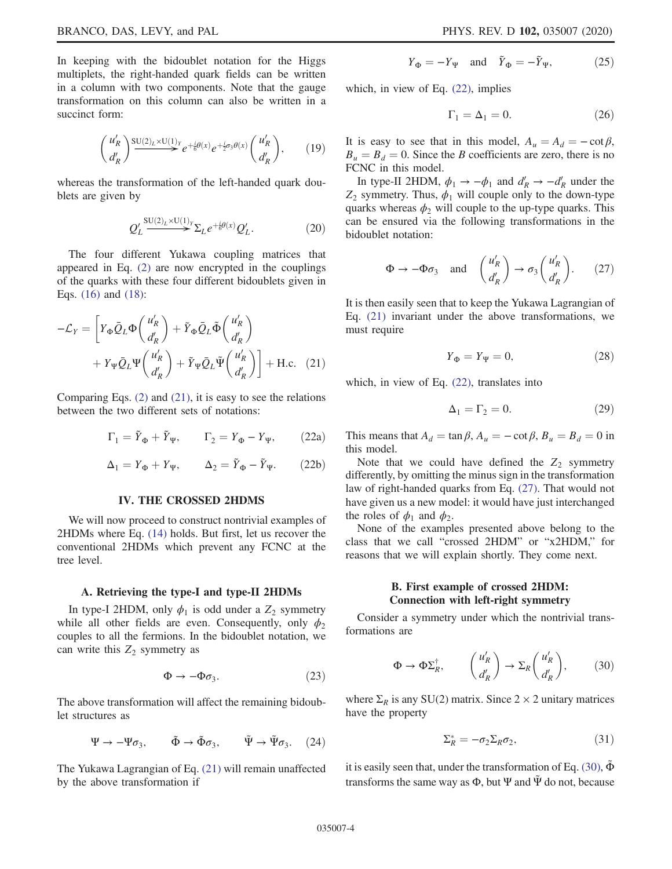In keeping with the bidoublet notation for the Higgs multiplets, the right-handed quark fields can be written in a column with two components. Note that the gauge transformation on this column can also be written in a succinct form:

$$
\begin{pmatrix} u'_R \\ d'_R \end{pmatrix} \xrightarrow{\text{SU}(2)_L \times \text{U}(1)_Y} e^{+\frac{i}{6}\theta(x)} e^{+\frac{i}{2}\sigma_3 \theta(x)} \begin{pmatrix} u'_R \\ d'_R \end{pmatrix}, \qquad (19)
$$

whereas the transformation of the left-handed quark doublets are given by

$$
Q'_L \stackrel{\text{SU}(2)_L \times \text{U}(1)_Y}{\longrightarrow} \Sigma_L e^{+\frac{i}{6}\theta(x)} Q'_L.
$$
 (20)

The four different Yukawa coupling matrices that appeared in Eq. (2) are now encrypted in the couplings of the quarks with these four different bidoublets given in Eqs. (16) and (18):

$$
-\mathcal{L}_Y = \left[ Y_{\Phi} \bar{Q}_L \Phi \left( \frac{u'_R}{d'_R} \right) + \tilde{Y}_{\Phi} \bar{Q}_L \tilde{\Phi} \left( \frac{u'_R}{d'_R} \right) + Y_{\Psi} \bar{Q}_L \Psi \left( \frac{u'_R}{d'_R} \right) + \tilde{Y}_{\Psi} \bar{Q}_L \tilde{\Psi} \left( \frac{u'_R}{d'_R} \right) \right] + \text{H.c.} \quad (21)
$$

Comparing Eqs. (2) and (21), it is easy to see the relations between the two different sets of notations:

$$
\Gamma_1 = \tilde{Y}_{\Phi} + \tilde{Y}_{\Psi}, \qquad \Gamma_2 = Y_{\Phi} - Y_{\Psi}, \qquad (22a)
$$

$$
\Delta_1 = Y_{\Phi} + Y_{\Psi}, \qquad \Delta_2 = \tilde{Y}_{\Phi} - \tilde{Y}_{\Psi}. \qquad (22b)
$$

#### IV. THE CROSSED 2HDMS

We will now proceed to construct nontrivial examples of 2HDMs where Eq. (14) holds. But first, let us recover the conventional 2HDMs which prevent any FCNC at the tree level.

#### A. Retrieving the type-I and type-II 2HDMs

In type-I 2HDM, only  $\phi_1$  is odd under a  $Z_2$  symmetry while all other fields are even. Consequently, only  $\phi_2$ couples to all the fermions. In the bidoublet notation, we can write this  $Z_2$  symmetry as

$$
\Phi \to -\Phi \sigma_3. \eqno(23)
$$

The above transformation will affect the remaining bidoublet structures as

$$
\Psi \to -\Psi \sigma_3, \qquad \tilde{\Phi} \to \tilde{\Phi} \sigma_3, \qquad \tilde{\Psi} \to \tilde{\Psi} \sigma_3. \quad (24)
$$

The Yukawa Lagrangian of Eq. (21) will remain unaffected by the above transformation if

$$
Y_{\Phi} = -Y_{\Psi} \quad \text{and} \quad \tilde{Y}_{\Phi} = -\tilde{Y}_{\Psi}, \tag{25}
$$

which, in view of Eq.  $(22)$ , implies

$$
\Gamma_1 = \Delta_1 = 0. \tag{26}
$$

It is easy to see that in this model,  $A_u = A_d = -\cot \beta$ ,  $B_u = B_d = 0$ . Since the B coefficients are zero, there is no FCNC in this model.

In type-II 2HDM,  $\phi_1 \rightarrow -\phi_1$  and  $d'_R \rightarrow -d'_R$  under the  $Z_2$  symmetry. Thus,  $\phi_1$  will couple only to the down-type quarks whereas  $\phi_2$  will couple to the up-type quarks. This can be ensured via the following transformations in the bidoublet notation:

$$
\Phi \to -\Phi \sigma_3 \quad \text{and} \quad \begin{pmatrix} u'_R \\ d'_R \end{pmatrix} \to \sigma_3 \begin{pmatrix} u'_R \\ d'_R \end{pmatrix} . \tag{27}
$$

It is then easily seen that to keep the Yukawa Lagrangian of Eq. (21) invariant under the above transformations, we must require

$$
Y_{\Phi} = Y_{\Psi} = 0, \tag{28}
$$

which, in view of Eq.  $(22)$ , translates into

$$
\Delta_1 = \Gamma_2 = 0. \tag{29}
$$

This means that  $A_d = \tan \beta$ ,  $A_u = -\cot \beta$ ,  $B_u = B_d = 0$  in this model.

Note that we could have defined the  $Z_2$  symmetry differently, by omitting the minus sign in the transformation law of right-handed quarks from Eq. (27). That would not have given us a new model: it would have just interchanged the roles of  $\phi_1$  and  $\phi_2$ .

None of the examples presented above belong to the class that we call "crossed 2HDM" or "x2HDM," for reasons that we will explain shortly. They come next.

# B. First example of crossed 2HDM: Connection with left-right symmetry

Consider a symmetry under which the nontrivial transformations are

$$
\Phi \to \Phi \Sigma_R^{\dagger}, \qquad \begin{pmatrix} u'_R \\ d'_R \end{pmatrix} \to \Sigma_R \begin{pmatrix} u'_R \\ d'_R \end{pmatrix}, \tag{30}
$$

where  $\Sigma_R$  is any SU(2) matrix. Since 2 × 2 unitary matrices have the property

$$
\Sigma_R^* = -\sigma_2 \Sigma_R \sigma_2,\tag{31}
$$

it is easily seen that, under the transformation of Eq. (30),  $\Phi$ transforms the same way as  $\Phi$ , but  $\Psi$  and  $\tilde{\Psi}$  do not, because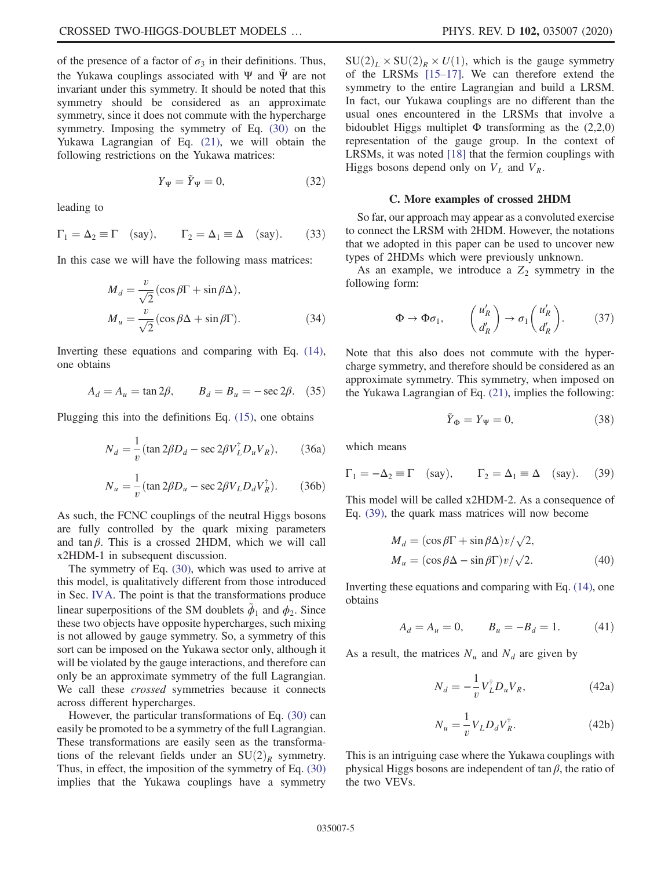of the presence of a factor of  $\sigma_3$  in their definitions. Thus, the Yukawa couplings associated with Ψ and  $\tilde{\Psi}$  are not invariant under this symmetry. It should be noted that this symmetry should be considered as an approximate symmetry, since it does not commute with the hypercharge symmetry. Imposing the symmetry of Eq. (30) on the Yukawa Lagrangian of Eq. (21), we will obtain the following restrictions on the Yukawa matrices:

$$
Y_{\Psi} = \tilde{Y}_{\Psi} = 0, \tag{32}
$$

leading to

$$
\Gamma_1 = \Delta_2 \equiv \Gamma \quad \text{(say)}, \qquad \Gamma_2 = \Delta_1 \equiv \Delta \quad \text{(say)}.
$$
 (33)

In this case we will have the following mass matrices:

$$
M_d = \frac{v}{\sqrt{2}} (\cos \beta \Gamma + \sin \beta \Delta),
$$
  
\n
$$
M_u = \frac{v}{\sqrt{2}} (\cos \beta \Delta + \sin \beta \Gamma).
$$
 (34)

Inverting these equations and comparing with Eq. (14), one obtains

$$
A_d = A_u = \tan 2\beta
$$
,  $B_d = B_u = -\sec 2\beta$ . (35)

Plugging this into the definitions Eq. (15), one obtains

$$
N_d = \frac{1}{v} (\tan 2\beta D_d - \sec 2\beta V_L^{\dagger} D_u V_R), \qquad (36a)
$$

$$
N_u = \frac{1}{v} (\tan 2\beta D_u - \sec 2\beta V_L D_d V_R^{\dagger}).
$$
 (36b)

As such, the FCNC couplings of the neutral Higgs bosons are fully controlled by the quark mixing parameters and tan $\beta$ . This is a crossed 2HDM, which we will call x2HDM-1 in subsequent discussion.

The symmetry of Eq. (30), which was used to arrive at this model, is qualitatively different from those introduced in Sec. IVA. The point is that the transformations produce linear superpositions of the SM doublets  $\tilde{\phi}_1$  and  $\phi_2$ . Since these two objects have opposite hypercharges, such mixing is not allowed by gauge symmetry. So, a symmetry of this sort can be imposed on the Yukawa sector only, although it will be violated by the gauge interactions, and therefore can only be an approximate symmetry of the full Lagrangian. We call these *crossed* symmetries because it connects across different hypercharges.

However, the particular transformations of Eq. (30) can easily be promoted to be a symmetry of the full Lagrangian. These transformations are easily seen as the transformations of the relevant fields under an  $SU(2)_R$  symmetry. Thus, in effect, the imposition of the symmetry of Eq. (30) implies that the Yukawa couplings have a symmetry  $SU(2)<sub>L</sub> \times SU(2)<sub>R</sub> \times U(1)$ , which is the gauge symmetry of the LRSMs [15–17]. We can therefore extend the symmetry to the entire Lagrangian and build a LRSM. In fact, our Yukawa couplings are no different than the usual ones encountered in the LRSMs that involve a bidoublet Higgs multiplet  $\Phi$  transforming as the (2,2,0) representation of the gauge group. In the context of LRSMs, it was noted [18] that the fermion couplings with Higgs bosons depend only on  $V_L$  and  $V_R$ .

#### C. More examples of crossed 2HDM

So far, our approach may appear as a convoluted exercise to connect the LRSM with 2HDM. However, the notations that we adopted in this paper can be used to uncover new types of 2HDMs which were previously unknown.

As an example, we introduce a  $Z_2$  symmetry in the following form:

$$
\Phi \to \Phi \sigma_1, \qquad \begin{pmatrix} u'_R \\ d'_R \end{pmatrix} \to \sigma_1 \begin{pmatrix} u'_R \\ d'_R \end{pmatrix}.
$$
 (37)

Note that this also does not commute with the hypercharge symmetry, and therefore should be considered as an approximate symmetry. This symmetry, when imposed on the Yukawa Lagrangian of Eq. (21), implies the following:

$$
\tilde{Y}_{\Phi} = Y_{\Psi} = 0, \tag{38}
$$

which means

$$
\Gamma_1 = -\Delta_2 \equiv \Gamma
$$
 (say),  $\Gamma_2 = \Delta_1 \equiv \Delta$  (say). (39)

This model will be called x2HDM-2. As a consequence of Eq. (39), the quark mass matrices will now become

$$
M_d = (\cos \beta \Gamma + \sin \beta \Delta) v / \sqrt{2},
$$
  
\n
$$
M_u = (\cos \beta \Delta - \sin \beta \Gamma) v / \sqrt{2}.
$$
\n(40)

Inverting these equations and comparing with Eq. (14), one obtains

$$
A_d = A_u = 0, \qquad B_u = -B_d = 1. \tag{41}
$$

As a result, the matrices  $N_u$  and  $N_d$  are given by

$$
N_d = -\frac{1}{v} V_L^{\dagger} D_u V_R, \qquad (42a)
$$

$$
N_u = -\frac{1}{v} V_L D_d V_R^{\dagger}.
$$
 (42b)

This is an intriguing case where the Yukawa couplings with physical Higgs bosons are independent of  $\tan \beta$ , the ratio of the two VEVs.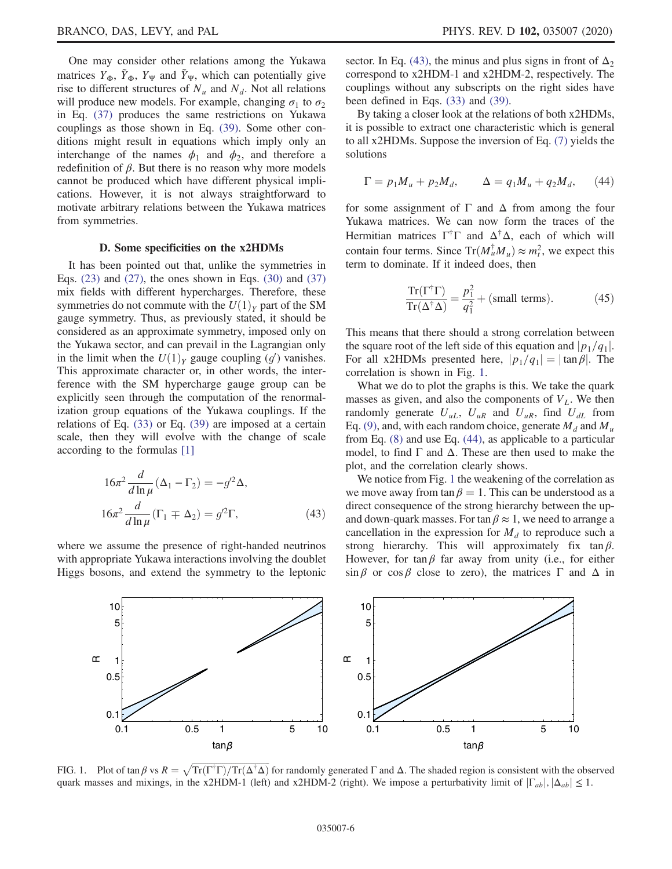One may consider other relations among the Yukawa matrices  $Y_{\Phi}$ ,  $\tilde{Y}_{\Phi}$ ,  $Y_{\Psi}$  and  $\tilde{Y}_{\Psi}$ , which can potentially give rise to different structures of  $N_u$  and  $N_d$ . Not all relations will produce new models. For example, changing  $\sigma_1$  to  $\sigma_2$ in Eq. (37) produces the same restrictions on Yukawa couplings as those shown in Eq. (39). Some other conditions might result in equations which imply only an interchange of the names  $\phi_1$  and  $\phi_2$ , and therefore a redefinition of  $\beta$ . But there is no reason why more models cannot be produced which have different physical implications. However, it is not always straightforward to motivate arbitrary relations between the Yukawa matrices from symmetries.

#### D. Some specificities on the x2HDMs

It has been pointed out that, unlike the symmetries in Eqs.  $(23)$  and  $(27)$ , the ones shown in Eqs.  $(30)$  and  $(37)$ mix fields with different hypercharges. Therefore, these symmetries do not commute with the  $U(1)_Y$  part of the SM gauge symmetry. Thus, as previously stated, it should be considered as an approximate symmetry, imposed only on the Yukawa sector, and can prevail in the Lagrangian only in the limit when the  $U(1)_Y$  gauge coupling  $(g')$  vanishes. This approximate character or, in other words, the interference with the SM hypercharge gauge group can be explicitly seen through the computation of the renormalization group equations of the Yukawa couplings. If the relations of Eq. (33) or Eq. (39) are imposed at a certain scale, then they will evolve with the change of scale according to the formulas [1]

$$
16\pi^2 \frac{d}{d \ln \mu} (\Delta_1 - \Gamma_2) = -g'^2 \Delta,
$$
  

$$
16\pi^2 \frac{d}{d \ln \mu} (\Gamma_1 \mp \Delta_2) = g'^2 \Gamma,
$$
 (43)

where we assume the presence of right-handed neutrinos with appropriate Yukawa interactions involving the doublet Higgs bosons, and extend the symmetry to the leptonic sector. In Eq. (43), the minus and plus signs in front of  $\Delta_2$ correspond to x2HDM-1 and x2HDM-2, respectively. The couplings without any subscripts on the right sides have been defined in Eqs. (33) and (39).

By taking a closer look at the relations of both x2HDMs, it is possible to extract one characteristic which is general to all x2HDMs. Suppose the inversion of Eq. (7) yields the solutions

$$
\Gamma = p_1 M_u + p_2 M_d, \qquad \Delta = q_1 M_u + q_2 M_d, \qquad (44)
$$

for some assignment of  $\Gamma$  and  $\Delta$  from among the four Yukawa matrices. We can now form the traces of the Hermitian matrices  $\Gamma^{\dagger} \Gamma$  and  $\Delta^{\dagger} \Delta$ , each of which will contain four terms. Since  $Tr(M_u^{\dagger} M_u) \approx m_t^2$ , we expect this term to dominate. If it indeed does, then

$$
\frac{\operatorname{Tr}(\Gamma^{\dagger}\Gamma)}{\operatorname{Tr}(\Delta^{\dagger}\Delta)} = \frac{p_1^2}{q_1^2} + \text{(small terms)}.
$$
 (45)

This means that there should a strong correlation between the square root of the left side of this equation and  $|p_1/q_1|$ . For all x2HDMs presented here,  $|p_1/q_1| = |\tan \beta|$ . The correlation is shown in Fig. 1.

What we do to plot the graphs is this. We take the quark masses as given, and also the components of  $V<sub>L</sub>$ . We then randomly generate  $U_{uL}$ ,  $U_{uR}$  and  $U_{uR}$ , find  $U_{dL}$  from Eq. (9), and, with each random choice, generate  $M_d$  and  $M_u$ from Eq. (8) and use Eq. (44), as applicable to a particular model, to find  $\Gamma$  and  $\Delta$ . These are then used to make the plot, and the correlation clearly shows.

We notice from Fig. 1 the weakening of the correlation as we move away from tan  $\beta = 1$ . This can be understood as a direct consequence of the strong hierarchy between the upand down-quark masses. For tan  $\beta \approx 1$ , we need to arrange a cancellation in the expression for  $M_d$  to reproduce such a strong hierarchy. This will approximately fix  $tan \beta$ . However, for tan  $\beta$  far away from unity (i.e., for either  $\sin \beta$  or  $\cos \beta$  close to zero), the matrices Γ and Δ in



FIG. 1. Plot of  $\tan \beta$  vs  $R = \sqrt{\text{Tr}(\Gamma^{\dagger}\Gamma)/\text{Tr}(\Delta^{\dagger}\Delta)}$  for randomly generated  $\Gamma$  and  $\Delta$ . The shaded region is consistent with the observed quark masses and mixings, in the x2HDM-1 (left) and x2HDM-2 (right). We impose a perturbativity limit of  $|\Gamma_{ab}|, |\Delta_{ab}| \leq 1$ .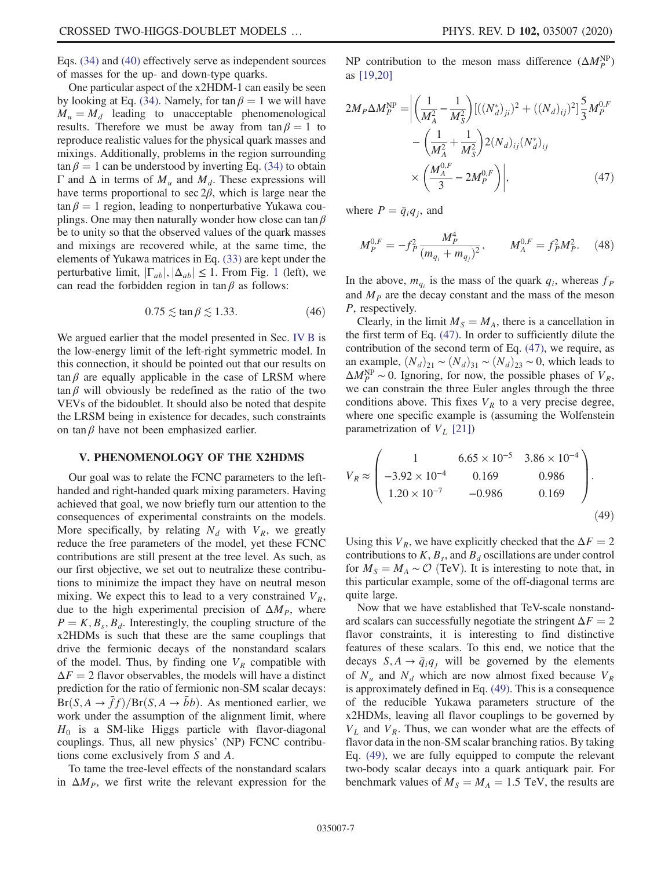Eqs. (34) and (40) effectively serve as independent sources of masses for the up- and down-type quarks.

One particular aspect of the x2HDM-1 can easily be seen by looking at Eq. (34). Namely, for tan  $\beta = 1$  we will have  $M_u = M_d$  leading to unacceptable phenomenological results. Therefore we must be away from  $tan \beta = 1$  to reproduce realistic values for the physical quark masses and mixings. Additionally, problems in the region surrounding  $\tan \beta = 1$  can be understood by inverting Eq. (34) to obtain Γ and Δ in terms of  $M_u$  and  $M_d$ . These expressions will have terms proportional to sec  $2\beta$ , which is large near the  $tan \beta = 1$  region, leading to nonperturbative Yukawa couplings. One may then naturally wonder how close can tan  $\beta$ be to unity so that the observed values of the quark masses and mixings are recovered while, at the same time, the elements of Yukawa matrices in Eq. (33) are kept under the perturbative limit,  $|\Gamma_{ab}|, |\Delta_{ab}| \leq 1$ . From Fig. 1 (left), we can read the forbidden region in  $\tan \beta$  as follows:

$$
0.75 \lesssim \tan \beta \lesssim 1.33. \tag{46}
$$

We argued earlier that the model presented in Sec. IV B is the low-energy limit of the left-right symmetric model. In this connection, it should be pointed out that our results on  $tan \beta$  are equally applicable in the case of LRSM where  $tan \beta$  will obviously be redefined as the ratio of the two VEVs of the bidoublet. It should also be noted that despite the LRSM being in existence for decades, such constraints on tan  $\beta$  have not been emphasized earlier.

## V. PHENOMENOLOGY OF THE X2HDMS

Our goal was to relate the FCNC parameters to the lefthanded and right-handed quark mixing parameters. Having achieved that goal, we now briefly turn our attention to the consequences of experimental constraints on the models. More specifically, by relating  $N_d$  with  $V_R$ , we greatly reduce the free parameters of the model, yet these FCNC contributions are still present at the tree level. As such, as our first objective, we set out to neutralize these contributions to minimize the impact they have on neutral meson mixing. We expect this to lead to a very constrained  $V_R$ , due to the high experimental precision of  $\Delta M_p$ , where  $P = K, B_s, B_d$ . Interestingly, the coupling structure of the x2HDMs is such that these are the same couplings that drive the fermionic decays of the nonstandard scalars of the model. Thus, by finding one  $V_R$  compatible with  $\Delta F = 2$  flavor observables, the models will have a distinct prediction for the ratio of fermionic non-SM scalar decays:  $Br(S, A \rightarrow \bar{f}f)/Br(S, A \rightarrow \bar{b}b)$ . As mentioned earlier, we work under the assumption of the alignment limit, where  $H_0$  is a SM-like Higgs particle with flavor-diagonal couplings. Thus, all new physics' (NP) FCNC contributions come exclusively from S and A.

To tame the tree-level effects of the nonstandard scalars in  $\Delta M_p$ , we first write the relevant expression for the

NP contribution to the meson mass difference  $(\Delta M_P^{\text{NP}})$ as [19,20]

$$
2M_P \Delta M_P^{\rm NP} = \left| \left( \frac{1}{M_A^2} - \frac{1}{M_S^2} \right) [((N_d^*)_{{j_l}})^2 + ((N_d)_{ij})^2] \frac{5}{3} M_P^{0,F} - \left( \frac{1}{M_A^2} + \frac{1}{M_S^2} \right) 2(N_d)_{ij} (N_d^*)_{ij} \times \left( \frac{M_A^{0,F}}{3} - 2M_P^{0,F} \right) \right|, \tag{47}
$$

where  $P = \bar{q}_i q_j$ , and

$$
M_P^{0,F} = -f_P^2 \frac{M_P^4}{(m_{q_i} + m_{q_j})^2}, \qquad M_A^{0,F} = f_P^2 M_P^2. \tag{48}
$$

In the above,  $m_{q_i}$  is the mass of the quark  $q_i$ , whereas  $f_p$ and  $M<sub>P</sub>$  are the decay constant and the mass of the meson P, respectively.

Clearly, in the limit  $M<sub>S</sub> = M<sub>A</sub>$ , there is a cancellation in the first term of Eq. (47). In order to sufficiently dilute the contribution of the second term of Eq. (47), we require, as an example,  $(N_d)_{21} \sim (N_d)_{31} \sim (N_d)_{23} \sim 0$ , which leads to  $\Delta M_P^{\text{NP}} \sim 0$ . Ignoring, for now, the possible phases of  $V_R$ , we can constrain the three Euler angles through the three conditions above. This fixes  $V_R$  to a very precise degree, where one specific example is (assuming the Wolfenstein parametrization of  $V_L$  [21])

$$
V_R \approx \begin{pmatrix} 1 & 6.65 \times 10^{-5} & 3.86 \times 10^{-4} \\ -3.92 \times 10^{-4} & 0.169 & 0.986 \\ 1.20 \times 10^{-7} & -0.986 & 0.169 \end{pmatrix}.
$$
 (49)

Using this  $V_R$ , we have explicitly checked that the  $\Delta F = 2$ contributions to  $K$ ,  $B_s$ , and  $B_d$  oscillations are under control for  $M_s = M_A \sim \mathcal{O}$  (TeV). It is interesting to note that, in this particular example, some of the off-diagonal terms are quite large.

Now that we have established that TeV-scale nonstandard scalars can successfully negotiate the stringent  $\Delta F = 2$ flavor constraints, it is interesting to find distinctive features of these scalars. To this end, we notice that the decays  $S, A \rightarrow \bar{q}_i q_i$  will be governed by the elements of  $N_u$  and  $N_d$  which are now almost fixed because  $V_R$ is approximately defined in Eq. (49). This is a consequence of the reducible Yukawa parameters structure of the x2HDMs, leaving all flavor couplings to be governed by  $V_L$  and  $V_R$ . Thus, we can wonder what are the effects of flavor data in the non-SM scalar branching ratios. By taking Eq. (49), we are fully equipped to compute the relevant two-body scalar decays into a quark antiquark pair. For benchmark values of  $M<sub>S</sub> = M<sub>A</sub> = 1.5$  TeV, the results are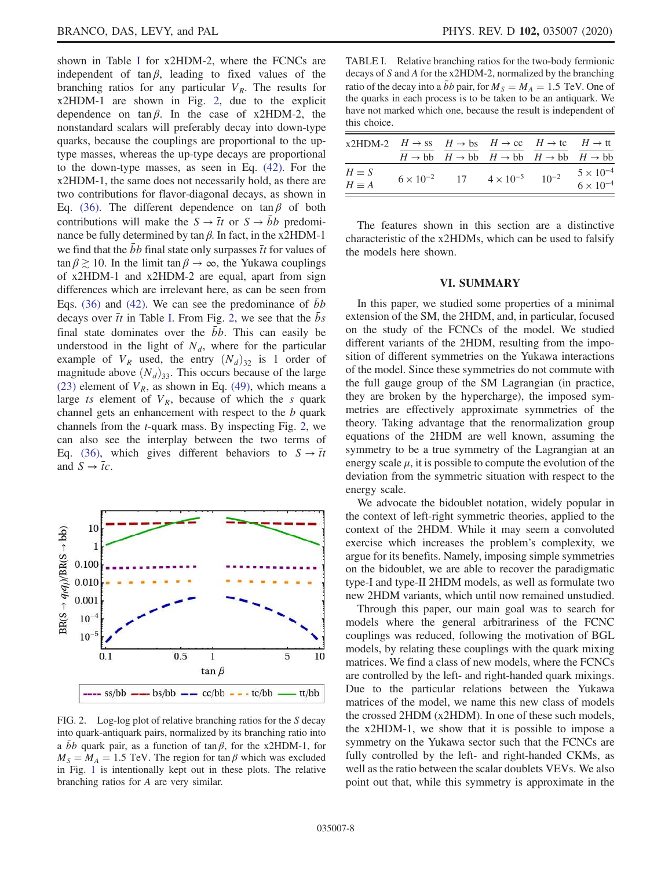shown in Table I for x2HDM-2, where the FCNCs are independent of tan $\beta$ , leading to fixed values of the branching ratios for any particular  $V_R$ . The results for x2HDM-1 are shown in Fig. 2, due to the explicit dependence on  $tan \beta$ . In the case of x2HDM-2, the nonstandard scalars will preferably decay into down-type quarks, because the couplings are proportional to the uptype masses, whereas the up-type decays are proportional to the down-type masses, as seen in Eq. (42). For the x2HDM-1, the same does not necessarily hold, as there are two contributions for flavor-diagonal decays, as shown in Eq. (36). The different dependence on  $\tan \beta$  of both contributions will make the  $S \rightarrow \bar{t}t$  or  $S \rightarrow \bar{b}b$  predominance be fully determined by tan  $β$ . In fact, in the x2HDM-1 we find that the  $\bar{b}b$  final state only surpasses  $\bar{t}t$  for values of  $\tan \beta \gtrsim 10$ . In the limit  $\tan \beta \to \infty$ , the Yukawa couplings of x2HDM-1 and x2HDM-2 are equal, apart from sign differences which are irrelevant here, as can be seen from Eqs. (36) and (42). We can see the predominance of  $bb$ decays over  $\bar{t}$  in Table I. From Fig. 2, we see that the  $\bar{b}s$ final state dominates over the  $\overrightarrow{b}b$ . This can easily be understood in the light of  $N_d$ , where for the particular example of  $V_R$  used, the entry  $(N_d)_{32}$  is 1 order of magnitude above  $(N_d)_{33}$ . This occurs because of the large (23) element of  $V_R$ , as shown in Eq. (49), which means a large ts element of  $V_R$ , because of which the s quark channel gets an enhancement with respect to the b quark channels from the t-quark mass. By inspecting Fig. 2, we can also see the interplay between the two terms of Eq. (36), which gives different behaviors to  $S \rightarrow \bar{t}t$ and  $S \rightarrow \overline{t}c$ .



FIG. 2. Log-log plot of relative branching ratios for the S decay into quark-antiquark pairs, normalized by its branching ratio into a bb quark pair, as a function of tan  $\beta$ , for the x2HDM-1, for  $M<sub>S</sub> = M<sub>A</sub> = 1.5$  TeV. The region for tan  $\beta$  which was excluded in Fig. 1 is intentionally kept out in these plots. The relative branching ratios for A are very similar.

TABLE I. Relative branching ratios for the two-body fermionic decays of S and A for the x2HDM-2, normalized by the branching ratio of the decay into a  $\bar{b}b$  pair, for  $M_s = M_A = 1.5$  TeV. One of the quarks in each process is to be taken to be an antiquark. We have not marked which one, because the result is independent of this choice.

| x2HDM-2 $H \rightarrow ss$ $H \rightarrow bs$ $H \rightarrow cc$ $H \rightarrow tc$ $H \rightarrow tt$ |  |                                                                                                |                                          |
|--------------------------------------------------------------------------------------------------------|--|------------------------------------------------------------------------------------------------|------------------------------------------|
|                                                                                                        |  | $H \rightarrow bb$ $H \rightarrow bb$ $H \rightarrow bb$ $H \rightarrow bb$ $H \rightarrow bb$ |                                          |
| $H \equiv S$<br>$H \equiv A$                                                                           |  | $6 \times 10^{-2}$ 17 $4 \times 10^{-5}$ 10 <sup>-2</sup>                                      | $5 \times 10^{-4}$<br>$6 \times 10^{-4}$ |

The features shown in this section are a distinctive characteristic of the x2HDMs, which can be used to falsify the models here shown.

## VI. SUMMARY

In this paper, we studied some properties of a minimal extension of the SM, the 2HDM, and, in particular, focused on the study of the FCNCs of the model. We studied different variants of the 2HDM, resulting from the imposition of different symmetries on the Yukawa interactions of the model. Since these symmetries do not commute with the full gauge group of the SM Lagrangian (in practice, they are broken by the hypercharge), the imposed symmetries are effectively approximate symmetries of the theory. Taking advantage that the renormalization group equations of the 2HDM are well known, assuming the symmetry to be a true symmetry of the Lagrangian at an energy scale  $\mu$ , it is possible to compute the evolution of the deviation from the symmetric situation with respect to the energy scale.

We advocate the bidoublet notation, widely popular in the context of left-right symmetric theories, applied to the context of the 2HDM. While it may seem a convoluted exercise which increases the problem's complexity, we argue for its benefits. Namely, imposing simple symmetries on the bidoublet, we are able to recover the paradigmatic type-I and type-II 2HDM models, as well as formulate two new 2HDM variants, which until now remained unstudied.

Through this paper, our main goal was to search for models where the general arbitrariness of the FCNC couplings was reduced, following the motivation of BGL models, by relating these couplings with the quark mixing matrices. We find a class of new models, where the FCNCs are controlled by the left- and right-handed quark mixings. Due to the particular relations between the Yukawa matrices of the model, we name this new class of models the crossed 2HDM (x2HDM). In one of these such models, the x2HDM-1, we show that it is possible to impose a symmetry on the Yukawa sector such that the FCNCs are fully controlled by the left- and right-handed CKMs, as well as the ratio between the scalar doublets VEVs. We also point out that, while this symmetry is approximate in the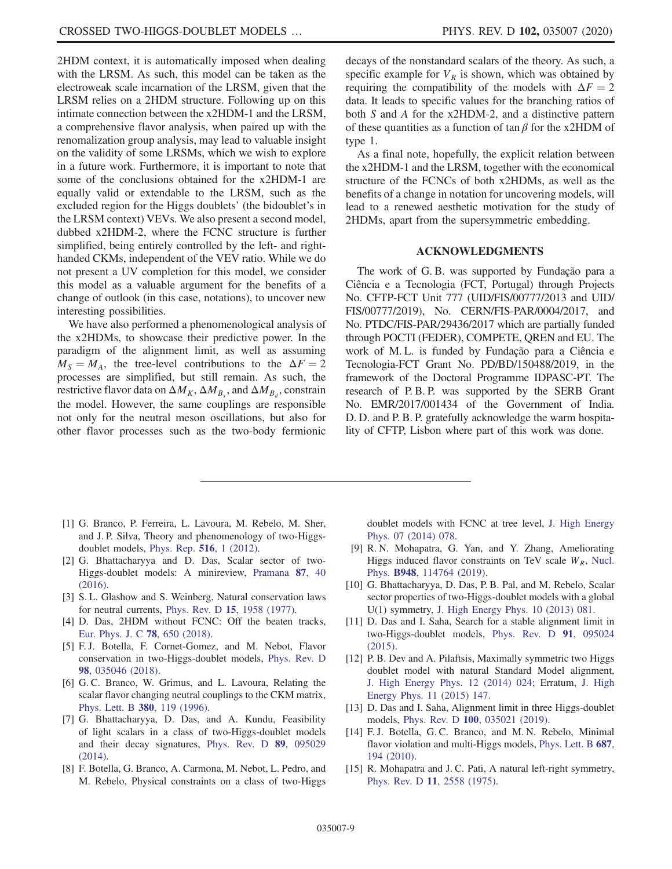2HDM context, it is automatically imposed when dealing with the LRSM. As such, this model can be taken as the electroweak scale incarnation of the LRSM, given that the LRSM relies on a 2HDM structure. Following up on this intimate connection between the x2HDM-1 and the LRSM, a comprehensive flavor analysis, when paired up with the renomalization group analysis, may lead to valuable insight on the validity of some LRSMs, which we wish to explore in a future work. Furthermore, it is important to note that some of the conclusions obtained for the x2HDM-1 are equally valid or extendable to the LRSM, such as the excluded region for the Higgs doublets' (the bidoublet's in the LRSM context) VEVs. We also present a second model, dubbed x2HDM-2, where the FCNC structure is further simplified, being entirely controlled by the left- and righthanded CKMs, independent of the VEV ratio. While we do not present a UV completion for this model, we consider this model as a valuable argument for the benefits of a change of outlook (in this case, notations), to uncover new interesting possibilities.

We have also performed a phenomenological analysis of the x2HDMs, to showcase their predictive power. In the paradigm of the alignment limit, as well as assuming  $M<sub>S</sub> = M<sub>A</sub>$ , the tree-level contributions to the  $\Delta F = 2$ processes are simplified, but still remain. As such, the restrictive flavor data on  $\Delta M_K$ ,  $\Delta M_{B_s}$ , and  $\Delta M_{B_d}$ , constrain the model. However, the same couplings are responsible not only for the neutral meson oscillations, but also for other flavor processes such as the two-body fermionic decays of the nonstandard scalars of the theory. As such, a specific example for  $V_R$  is shown, which was obtained by requiring the compatibility of the models with  $\Delta F = 2$ data. It leads to specific values for the branching ratios of both S and A for the x2HDM-2, and a distinctive pattern of these quantities as a function of tan  $\beta$  for the x2HDM of type 1.

As a final note, hopefully, the explicit relation between the x2HDM-1 and the LRSM, together with the economical structure of the FCNCs of both x2HDMs, as well as the benefits of a change in notation for uncovering models, will lead to a renewed aesthetic motivation for the study of 2HDMs, apart from the supersymmetric embedding.

#### ACKNOWLEDGMENTS

The work of G. B. was supported by Fundação para a Ciência e a Tecnologia (FCT, Portugal) through Projects No. CFTP-FCT Unit 777 (UID/FIS/00777/2013 and UID/ FIS/00777/2019), No. CERN/FIS-PAR/0004/2017, and No. PTDC/FIS-PAR/29436/2017 which are partially funded through POCTI (FEDER), COMPETE, QREN and EU. The work of M. L. is funded by Fundação para a Ciência e Tecnologia-FCT Grant No. PD/BD/150488/2019, in the framework of the Doctoral Programme IDPASC-PT. The research of P. B. P. was supported by the SERB Grant No. EMR/2017/001434 of the Government of India. D. D. and P. B. P. gratefully acknowledge the warm hospitality of CFTP, Lisbon where part of this work was done.

- [1] G. Branco, P. Ferreira, L. Lavoura, M. Rebelo, M. Sher, and J. P. Silva, Theory and phenomenology of two-Higgsdoublet models, Phys. Rep. 516, 1 (2012).
- [2] G. Bhattacharyya and D. Das, Scalar sector of two-Higgs-doublet models: A minireview, Pramana 87, 40 (2016).
- [3] S. L. Glashow and S. Weinberg, Natural conservation laws for neutral currents, Phys. Rev. D 15, 1958 (1977).
- [4] D. Das, 2HDM without FCNC: Off the beaten tracks, Eur. Phys. J. C 78, 650 (2018).
- [5] F. J. Botella, F. Cornet-Gomez, and M. Nebot, Flavor conservation in two-Higgs-doublet models, Phys. Rev. D 98, 035046 (2018).
- [6] G. C. Branco, W. Grimus, and L. Lavoura, Relating the scalar flavor changing neutral couplings to the CKM matrix, Phys. Lett. B 380, 119 (1996).
- [7] G. Bhattacharyya, D. Das, and A. Kundu, Feasibility of light scalars in a class of two-Higgs-doublet models and their decay signatures, Phys. Rev. D 89, 095029 (2014).
- [8] F. Botella, G. Branco, A. Carmona, M. Nebot, L. Pedro, and M. Rebelo, Physical constraints on a class of two-Higgs

doublet models with FCNC at tree level, J. High Energy Phys. 07 (2014) 078.

- [9] R. N. Mohapatra, G. Yan, and Y. Zhang, Ameliorating Higgs induced flavor constraints on TeV scale  $W_R$ , Nucl. Phys. B948, 114764 (2019).
- [10] G. Bhattacharyya, D. Das, P. B. Pal, and M. Rebelo, Scalar sector properties of two-Higgs-doublet models with a global U(1) symmetry, J. High Energy Phys. 10 (2013) 081.
- [11] D. Das and I. Saha, Search for a stable alignment limit in two-Higgs-doublet models, Phys. Rev. D 91, 095024 (2015).
- [12] P. B. Dev and A. Pilaftsis, Maximally symmetric two Higgs doublet model with natural Standard Model alignment, J. High Energy Phys. 12 (2014) 024; Erratum, J. High Energy Phys. 11 (2015) 147.
- [13] D. Das and I. Saha, Alignment limit in three Higgs-doublet models, Phys. Rev. D 100, 035021 (2019).
- [14] F.J. Botella, G.C. Branco, and M.N. Rebelo, Minimal flavor violation and multi-Higgs models, Phys. Lett. B 687, 194 (2010).
- [15] R. Mohapatra and J.C. Pati, A natural left-right symmetry, Phys. Rev. D 11, 2558 (1975).